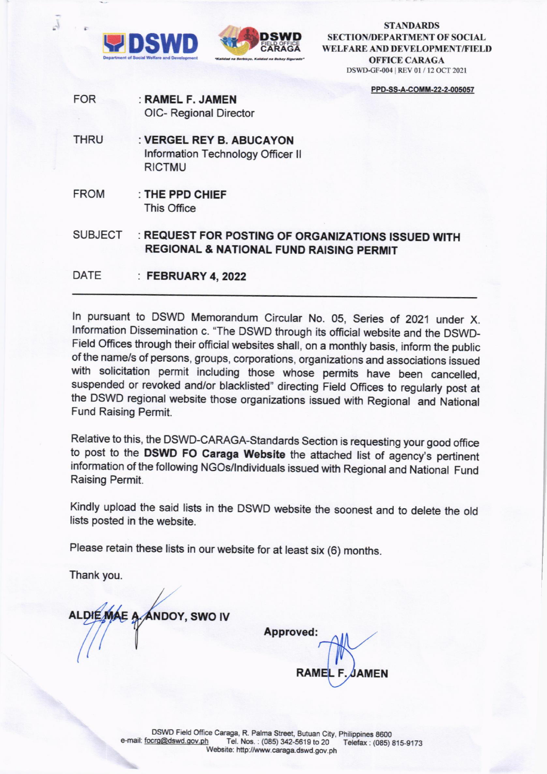

J



**STANDARDS SECTION/DEPARTMENT OF SOCIAL** WELFARE AND DEVELOPMENT/FIELD **OFFICE CARAGA** DSWD-GF-004 | REV 01 / 12 OCT 2021

PPD-SS-A-COMM-22-2-005057

- **FOR** : RAMEL F. JAMEN **OIC- Regional Director**
- **THRU** : VERGEL REY B. ABUCAYON Information Technology Officer II **RICTMU**
- **FROM** : THE PPD CHIEF This Office

: REQUEST FOR POSTING OF ORGANIZATIONS ISSUED WITH **SUBJECT REGIONAL & NATIONAL FUND RAISING PERMIT** 

**DATE** : FEBRUARY 4, 2022

In pursuant to DSWD Memorandum Circular No. 05, Series of 2021 under X. Information Dissemination c. "The DSWD through its official website and the DSWD-Field Offices through their official websites shall, on a monthly basis, inform the public of the name/s of persons, groups, corporations, organizations and associations issued with solicitation permit including those whose permits have been cancelled, suspended or revoked and/or blacklisted" directing Field Offices to regularly post at the DSWD regional website those organizations issued with Regional and National **Fund Raising Permit.** 

Relative to this, the DSWD-CARAGA-Standards Section is requesting your good office to post to the DSWD FO Caraga Website the attached list of agency's pertinent information of the following NGOs/Individuals issued with Regional and National Fund Raising Permit.

Kindly upload the said lists in the DSWD website the soonest and to delete the old lists posted in the website.

Please retain these lists in our website for at least six (6) months.

Thank you.

ALDIE MAE A **ANDOY, SWO IV** 

**Approved: RAME AMEN**